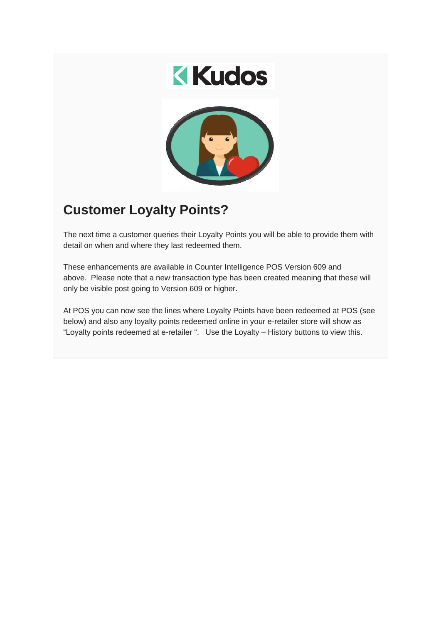



## **Customer Loyalty Points?**

The next time a customer queries their Loyalty Points you will be able to provide them with detail on when and where they last redeemed them.

These enhancements are available in Counter Intelligence POS Version 609 and above. Please note that a new transaction type has been created meaning that these will only be visible post going to Version 609 or higher.

At POS you can now see the lines where Loyalty Points have been redeemed at POS (see below) and also any loyalty points redeemed online in your e-retailer store will show as "Loyalty points redeemed at e-retailer ". Use the Loyalty – History buttons to view this.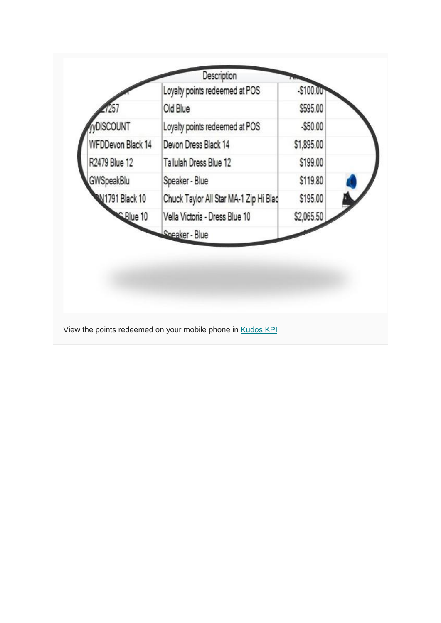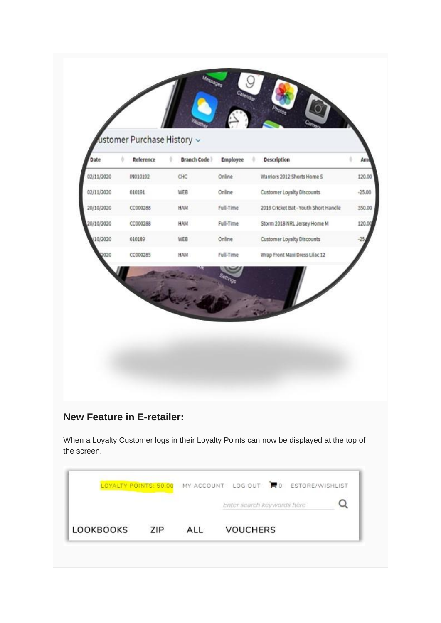| Date       | Reference<br>ô | <b>Branch Code</b><br>÷ | Employee  | <b>Description</b>                    |          |
|------------|----------------|-------------------------|-----------|---------------------------------------|----------|
| 02/11/2020 | IN010192       | CHC                     | Online    | Warriors 2012 Shorts Home S           | 120.00   |
| 02/11/2020 | 010191         | WEB                     | Online    | Customer Loyalty Discounts            | $-25.00$ |
| 20/10/2020 | CC000288       | HAM                     | Full-Time | 2016 Cricket Bat - Youth Short Handle | 350.00   |
| 20/10/2020 | CC000288       | HAM                     | Full-Time | Storm 2018 NRL Jersey Home M          | 120.00   |
| 10/2020    | 010189         | WEB                     | Online    | Customer Loyalty Discounts            |          |
|            | CC000285       | HAM                     | Full-Time | Wrap Front Maxi Dress Lilac 12        |          |
|            |                |                         |           |                                       |          |

## **New Feature in E-retailer:**

When a Loyalty Customer logs in their Loyalty Points can now be displayed at the top of the screen.

|                  |  |     |     | LOYALTY POINTS: 50.00 MY ACCOUNT LOG OUT C ESTORE/WISHLIST |  |  |  |
|------------------|--|-----|-----|------------------------------------------------------------|--|--|--|
|                  |  |     |     | Enter search keywords here                                 |  |  |  |
| <b>LOOKBOOKS</b> |  | 7IP | $A$ | <b>VOUCHERS</b>                                            |  |  |  |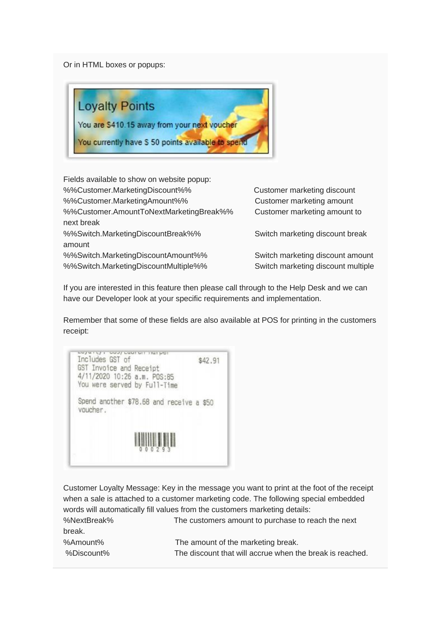Or in HTML boxes or popups:



Fields available to show on website popup: %%Customer.MarketingDiscount%% Customer marketing discount %%Customer.MarketingAmount%% Customer marketing amount %%Customer.AmountToNextMarketingBreak%% Customer marketing amount to next break %%Switch.MarketingDiscountBreak%% Switch marketing discount break amount %%Switch.MarketingDiscountAmount%% Switch marketing discount amount %%Switch.MarketingDiscountMultiple%% Switch marketing discount multiple

If you are interested in this feature then please call through to the Help Desk and we can have our Developer look at your specific requirements and implementation.

Remember that some of these fields are also available at POS for printing in the customers receipt:

coyang, booy caaram narpor Includes GST of \$42.91 GST Invoice and Receipt 4/11/2020 10:26 a.m. POS:85 You were served by Full-Time Spend another \$78.68 and receive a \$50 voucher.

Customer Loyalty Message: Key in the message you want to print at the foot of the receipt when a sale is attached to a customer marketing code. The following special embedded words will automatically fill values from the customers marketing details: %NextBreak% The customers amount to purchase to reach the next break.

%Discount% The discount that will accrue when the break is reached.

%Amount% The amount of the marketing break.